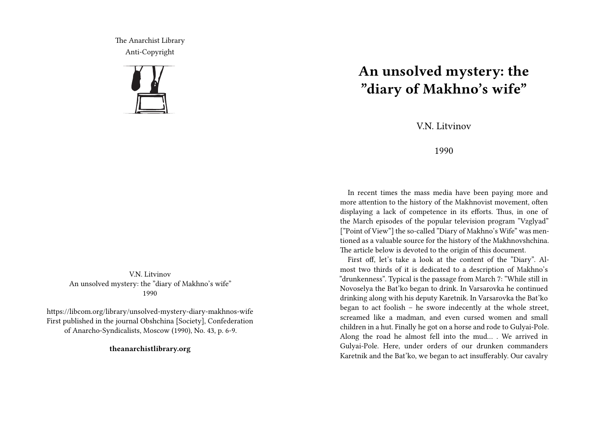The Anarchist Library Anti-Copyright



VN Litvinov An unsolved mystery: the "diary of Makhno's wife" 1990

https://libcom.org/library/unsolved-mystery-diary-makhnos-wife First published in the journal Obshchina [Society], Confederation of Anarcho-Syndicalists, Moscow (1990), No. 43, p. 6-9.

**theanarchistlibrary.org**

## **An unsolved mystery: the "diary of Makhno's wife"**

V.N. Litvinov

## 1990

In recent times the mass media have been paying more and more attention to the history of the Makhnovist movement, often displaying a lack of competence in its efforts. Thus, in one of the March episodes of the popular television program "Vzglyad" ["Point of View"] the so-called "Diary of Makhno's Wife" was mentioned as a valuable source for the history of the Makhnovshchina. The article below is devoted to the origin of this document.

First off, let's take a look at the content of the "Diary". Almost two thirds of it is dedicated to a description of Makhno's "drunkenness". Typical is the passage from March 7: "While still in Novoselya the Bat'ko began to drink. In Varsarovka he continued drinking along with his deputy Karetnik. In Varsarovka the Bat'ko began to act foolish – he swore indecently at the whole street, screamed like a madman, and even cursed women and small children in a hut. Finally he got on a horse and rode to Gulyai-Pole. Along the road he almost fell into the mud… . We arrived in Gulyai-Pole. Here, under orders of our drunken commanders Karetnik and the Bat'ko, we began to act insufferably. Our cavalry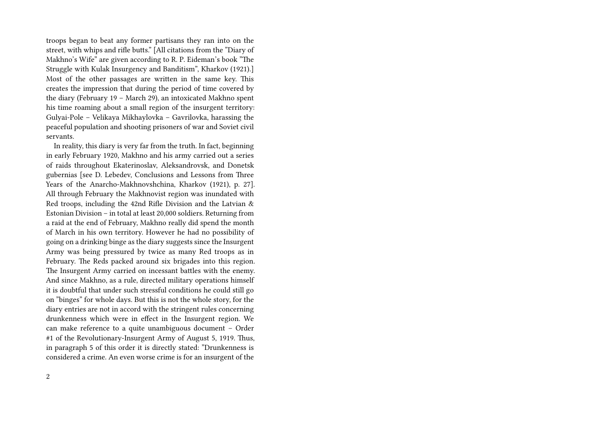troops began to beat any former partisans they ran into on the street, with whips and rifle butts." [All citations from the "Diary of Makhno's Wife" are given according to R. P. Eideman's book "The Struggle with Kulak Insurgency and Banditism", Kharkov (1921).] Most of the other passages are written in the same key. This creates the impression that during the period of time covered by the diary (February 19 – March 29), an intoxicated Makhno spent his time roaming about a small region of the insurgent territory: Gulyai-Pole – Velikaya Mikhaylovka – Gavrilovka, harassing the peaceful population and shooting prisoners of war and Soviet civil servants.

In reality, this diary is very far from the truth. In fact, beginning in early February 1920, Makhno and his army carried out a series of raids throughout Ekaterinoslav, Aleksandrovsk, and Donetsk gubernias [see D. Lebedev, Conclusions and Lessons from Three Years of the Anarcho-Makhnovshchina, Kharkov (1921), p. 27]. All through February the Makhnovist region was inundated with Red troops, including the 42nd Rifle Division and the Latvian & Estonian Division – in total at least 20,000 soldiers. Returning from a raid at the end of February, Makhno really did spend the month of March in his own territory. However he had no possibility of going on a drinking binge as the diary suggests since the Insurgent Army was being pressured by twice as many Red troops as in February. The Reds packed around six brigades into this region. The Insurgent Army carried on incessant battles with the enemy. And since Makhno, as a rule, directed military operations himself it is doubtful that under such stressful conditions he could still go on "binges" for whole days. But this is not the whole story, for the diary entries are not in accord with the stringent rules concerning drunkenness which were in effect in the Insurgent region. We can make reference to a quite unambiguous document – Order #1 of the Revolutionary-Insurgent Army of August 5, 1919. Thus, in paragraph 5 of this order it is directly stated: "Drunkenness is considered a crime. An even worse crime is for an insurgent of the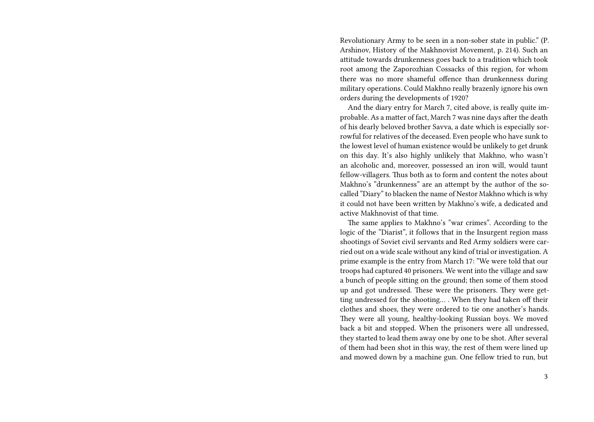Revolutionary Army to be seen in a non-sober state in public." (P. Arshinov, History of the Makhnovist Movement, p. 214). Such an attitude towards drunkenness goes back to a tradition which took root among the Zaporozhian Cossacks of this region, for whom there was no more shameful offence than drunkenness during military operations. Could Makhno really brazenly ignore his own orders during the developments of 1920?

And the diary entry for March 7, cited above, is really quite improbable. As a matter of fact, March 7 was nine days after the death of his dearly beloved brother Savva, a date which is especially sorrowful for relatives of the deceased. Even people who have sunk to the lowest level of human existence would be unlikely to get drunk on this day. It's also highly unlikely that Makhno, who wasn't an alcoholic and, moreover, possessed an iron will, would taunt fellow-villagers. Thus both as to form and content the notes about Makhno's "drunkenness" are an attempt by the author of the socalled "Diary" to blacken the name of Nestor Makhno which is why it could not have been written by Makhno's wife, a dedicated and active Makhnovist of that time.

The same applies to Makhno's "war crimes". According to the logic of the "Diarist", it follows that in the Insurgent region mass shootings of Soviet civil servants and Red Army soldiers were carried out on a wide scale without any kind of trial or investigation. A prime example is the entry from March 17: "We were told that our troops had captured 40 prisoners. We went into the village and saw a bunch of people sitting on the ground; then some of them stood up and got undressed. These were the prisoners. They were getting undressed for the shooting… . When they had taken off their clothes and shoes, they were ordered to tie one another's hands. They were all young, healthy-looking Russian boys. We moved back a bit and stopped. When the prisoners were all undressed, they started to lead them away one by one to be shot. After several of them had been shot in this way, the rest of them were lined up and mowed down by a machine gun. One fellow tried to run, but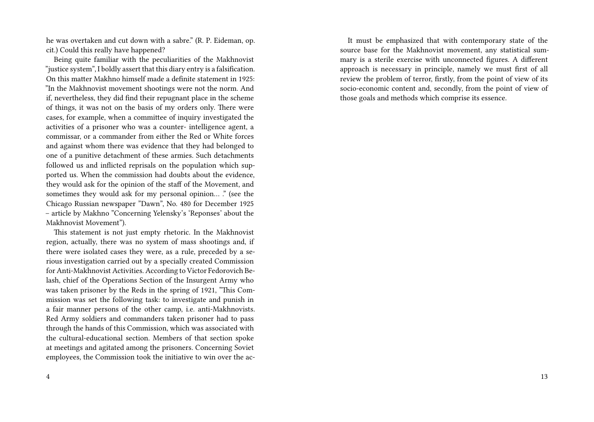he was overtaken and cut down with a sabre." (R. P. Eideman, op. cit.) Could this really have happened?

Being quite familiar with the peculiarities of the Makhnovist "justice system", I boldly assert that this diary entry is a falsification. On this matter Makhno himself made a definite statement in 1925: "In the Makhnovist movement shootings were not the norm. And if, nevertheless, they did find their repugnant place in the scheme of things, it was not on the basis of my orders only. There were cases, for example, when a committee of inquiry investigated the activities of a prisoner who was a counter- intelligence agent, a commissar, or a commander from either the Red or White forces and against whom there was evidence that they had belonged to one of a punitive detachment of these armies. Such detachments followed us and inflicted reprisals on the population which supported us. When the commission had doubts about the evidence, they would ask for the opinion of the staff of the Movement, and sometimes they would ask for my personal opinion... ." (see the Chicago Russian newspaper "Dawn", No. 480 for December 1925 – article by Makhno "Concerning Yelensky's 'Reponses' about the Makhnovist Movement").

This statement is not just empty rhetoric. In the Makhnovist region, actually, there was no system of mass shootings and, if there were isolated cases they were, as a rule, preceded by a serious investigation carried out by a specially created Commission for Anti-Makhnovist Activities. According to Victor Fedorovich Belash, chief of the Operations Section of the Insurgent Army who was taken prisoner by the Reds in the spring of 1921, "This Commission was set the following task: to investigate and punish in a fair manner persons of the other camp, i.e. anti-Makhnovists. Red Army soldiers and commanders taken prisoner had to pass through the hands of this Commission, which was associated with the cultural-educational section. Members of that section spoke at meetings and agitated among the prisoners. Concerning Soviet employees, the Commission took the initiative to win over the ac-

It must be emphasized that with contemporary state of the source base for the Makhnovist movement, any statistical summary is a sterile exercise with unconnected figures. A different approach is necessary in principle, namely we must first of all review the problem of terror, firstly, from the point of view of its socio-economic content and, secondly, from the point of view of those goals and methods which comprise its essence.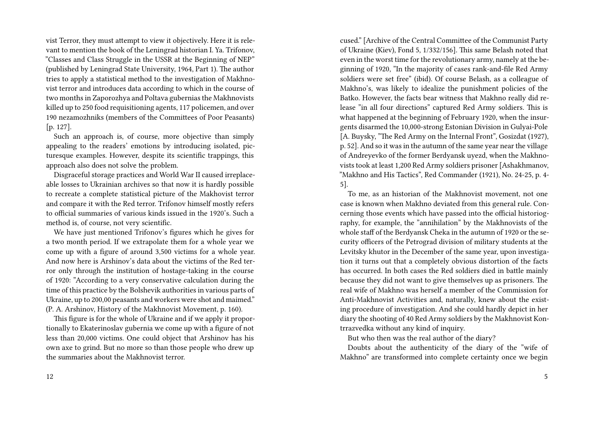vist Terror, they must attempt to view it objectively. Here it is relevant to mention the book of the Leningrad historian I. Ya. Trifonov, "Classes and Class Struggle in the USSR at the Beginning of NEP" (published by Leningrad State University, 1964, Part 1). The author tries to apply a statistical method to the investigation of Makhnovist terror and introduces data according to which in the course of two months in Zaporozhya and Poltava gubernias the Makhnovists killed up to 250 food requisitioning agents, 117 policemen, and over 190 nezamozhniks (members of the Committees of Poor Peasants) [p. 127].

Such an approach is, of course, more objective than simply appealing to the readers' emotions by introducing isolated, picturesque examples. However, despite its scientific trappings, this approach also does not solve the problem.

Disgraceful storage practices and World War II caused irreplaceable losses to Ukrainian archives so that now it is hardly possible to recreate a complete statistical picture of the Makhovist terror and compare it with the Red terror. Trifonov himself mostly refers to official summaries of various kinds issued in the 1920's. Such a method is, of course, not very scientific.

We have just mentioned Trifonov's figures which he gives for a two month period. If we extrapolate them for a whole year we come up with a figure of around 3,500 victims for a whole year. And now here is Arshinov's data about the victims of the Red terror only through the institution of hostage-taking in the course of 1920: "According to a very conservative calculation during the time of this practice by the Bolshevik authorities in various parts of Ukraine, up to 200,00 peasants and workers were shot and maimed." (P. A. Arshinov, History of the Makhnovist Movement, p. 160).

This figure is for the whole of Ukraine and if we apply it proportionally to Ekaterinoslav gubernia we come up with a figure of not less than 20,000 victims. One could object that Arshinov has his own axe to grind. But no more so than those people who drew up the summaries about the Makhnovist terror.

cused." [Archive of the Central Committee of the Communist Party of Ukraine (Kiev), Fond 5, 1/332/156]. This same Belash noted that even in the worst time for the revolutionary army, namely at the beginning of 1920, "In the majority of cases rank-and-file Red Army soldiers were set free" (ibid). Of course Belash, as a colleague of Makhno's, was likely to idealize the punishment policies of the Batko. However, the facts bear witness that Makhno really did release "in all four directions" captured Red Army soldiers. This is what happened at the beginning of February 1920, when the insurgents disarmed the 10,000-strong Estonian Division in Gulyai-Pole [A. Buysky, "The Red Army on the Internal Front", Gosizdat (1927), p. 52]. And so it was in the autumn of the same year near the village of Andreyevko of the former Berdyansk uyezd, when the Makhnovists took at least 1,200 Red Army soldiers prisoner [Ashakhmanov, "Makhno and His Tactics", Red Commander (1921), No. 24-25, p. 4- 5].

To me, as an historian of the Makhnovist movement, not one case is known when Makhno deviated from this general rule. Concerning those events which have passed into the official historiography, for example, the "annihilation" by the Makhnovists of the whole staff of the Berdyansk Cheka in the autumn of 1920 or the security officers of the Petrograd division of military students at the Levitsky khutor in the December of the same year, upon investigation it turns out that a completely obvious distortion of the facts has occurred. In both cases the Red soldiers died in battle mainly because they did not want to give themselves up as prisoners. The real wife of Makhno was herself a member of the Commission for Anti-Makhnovist Activities and, naturally, knew about the existing procedure of investigation. And she could hardly depict in her diary the shooting of 40 Red Army soldiers by the Makhnovist Kontrrazvedka without any kind of inquiry.

But who then was the real author of the diary?

Doubts about the authenticity of the diary of the "wife of Makhno" are transformed into complete certainty once we begin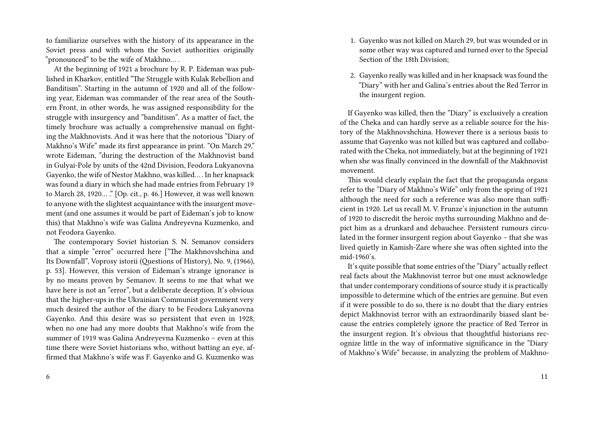to familiarize ourselves with the history of its appearance in the Soviet press and with whom the Soviet authorities originally "pronounced" to be the wife of Makhno… .

At the beginning of 1921 a brochure by R. P. Eideman was published in Kharkov, entitled "The Struggle with Kulak Rebellion and Banditism". Starting in the autumn of 1920 and all of the following year, Eideman was commander of the rear area of the Southern Front, in other words, he was assigned responsibility for the struggle with insurgency and "banditism". As a matter of fact, the timely brochure was actually a comprehensive manual on fighting the Makhnovists. And it was here that the notorious "Diary of Makhno's Wife" made its first appearance in print. "On March 29," wrote Eideman, "during the destruction of the Makhnovist band in Gulyai-Pole by units of the 42nd Division, Feodora Lukyanovna Gayenko, the wife of Nestor Makhno, was killed… . In her knapsack was found a diary in which she had made entries from February 19 to March 28, 1920… ." [Op. cit., p. 46.] However, it was well known to anyone with the slightest acquaintance with the insurgent movement (and one assumes it would be part of Eideman's job to know this) that Makhno's wife was Galina Andreyevna Kuzmenko, and not Feodora Gayenko.

The contemporary Soviet historian S. N. Semanov considers that a simple "error" occurred here ["The Makhnovshchina and Its Downfall", Voprosy istorii (Questions of History), No. 9, (1966), p. 53]. However, this version of Eideman's strange ignorance is by no means proven by Semanov. It seems to me that what we have here is not an "error", but a deliberate deception. It's obvious that the higher-ups in the Ukrainian Communist government very much desired the author of the diary to be Feodora Lukyanovna Gayenko. And this desire was so persistent that even in 1928, when no one had any more doubts that Makhno's wife from the summer of 1919 was Galina Andreyevna Kuzmenko – even at this time there were Soviet historians who, without batting an eye, affirmed that Makhno's wife was F. Gayenko and G. Kuzmenko was

- 1. Gayenko was not killed on March 29, but was wounded or in some other way was captured and turned over to the Special Section of the 18th Division;
- 2. Gayenko really was killed and in her knapsack was found the "Diary" with her and Galina's entries about the Red Terror in the insurgent region.

If Gayenko was killed, then the "Diary" is exclusively a creation of the Cheka and can hardly serve as a reliable source for the history of the Makhnovshchina. However there is a serious basis to assume that Gayenko was not killed but was captured and collaborated with the Cheka, not immediately, but at the beginning of 1921 when she was finally convinced in the downfall of the Makhnovist movement.

This would clearly explain the fact that the propaganda organs refer to the "Diary of Makhno's Wife" only from the spring of 1921 although the need for such a reference was also more than sufficient in 1920. Let us recall M. V. Frunze's injunction in the autumn of 1920 to discredit the heroic myths surrounding Makhno and depict him as a drunkard and debauchee. Persistent rumours circulated in the former insurgent region about Gayenko – that she was lived quietly in Kamish-Zare where she was often sighted into the mid-1960's.

It's quite possible that some entries of the "Diary" actually reflect real facts about the Makhnovist terror but one must acknowledge that under contemporary conditions of source study it is practically impossible to determine which of the entries are genuine. But even if it were possible to do so, there is no doubt that the diary entries depict Makhnovist terror with an extraordinarily biased slant because the entries completely ignore the practice of Red Terror in the insurgent region. It's obvious that thoughtful historians recognize little in the way of informative significance in the "Diary of Makhno's Wife" because, in analyzing the problem of Makhno-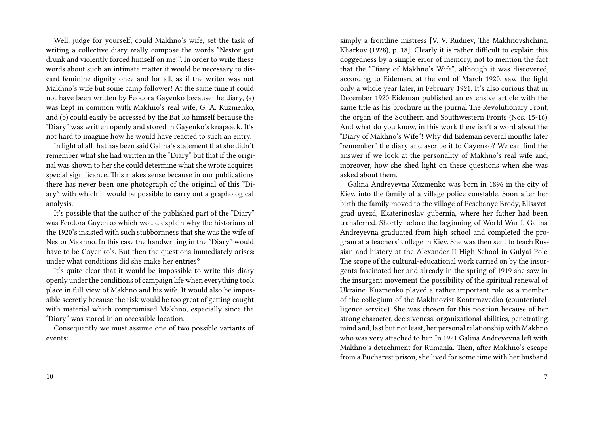Well, judge for yourself, could Makhno's wife, set the task of writing a collective diary really compose the words "Nestor got drunk and violently forced himself on me!". In order to write these words about such an intimate matter it would be necessary to discard feminine dignity once and for all, as if the writer was not Makhno's wife but some camp follower! At the same time it could not have been written by Feodora Gayenko because the diary, (a) was kept in common with Makhno's real wife, G. A. Kuzmenko, and (b) could easily be accessed by the Bat'ko himself because the "Diary" was written openly and stored in Gayenko's knapsack. It's not hard to imagine how he would have reacted to such an entry.

In light of all that has been said Galina's statement that she didn't remember what she had written in the "Diary" but that if the original was shown to her she could determine what she wrote acquires special significance. This makes sense because in our publications there has never been one photograph of the original of this "Diary" with which it would be possible to carry out a graphological analysis.

It's possible that the author of the published part of the "Diary" was Feodora Gayenko which would explain why the historians of the 1920's insisted with such stubbornness that she was the wife of Nestor Makhno. In this case the handwriting in the "Diary" would have to be Gavenko's. But then the questions immediately arises: under what conditions did she make her entries?

It's quite clear that it would be impossible to write this diary openly under the conditions of campaign life when everything took place in full view of Makhno and his wife. It would also be impossible secretly because the risk would be too great of getting caught with material which compromised Makhno, especially since the "Diary" was stored in an accessible location.

Consequently we must assume one of two possible variants of events:

simply a frontline mistress [V. V. Rudnev, The Makhnovshchina, Kharkov (1928), p. 18]. Clearly it is rather difficult to explain this doggedness by a simple error of memory, not to mention the fact that the "Diary of Makhno's Wife", although it was discovered, according to Eideman, at the end of March 1920, saw the light only a whole year later, in February 1921. It's also curious that in December 1920 Eideman published an extensive article with the same title as his brochure in the journal The Revolutionary Front, the organ of the Southern and Southwestern Fronts (Nos. 15-16). And what do you know, in this work there isn't a word about the "Diary of Makhno's Wife"! Why did Eideman several months later "remember" the diary and ascribe it to Gayenko? We can find the answer if we look at the personality of Makhno's real wife and, moreover, how she shed light on these questions when she was asked about them.

Galina Andreyevna Kuzmenko was born in 1896 in the city of Kiev, into the family of a village police constable. Soon after her birth the family moved to the village of Peschanye Brody, Elisavetgrad uyezd, Ekaterinoslav gubernia, where her father had been transferred. Shortly before the beginning of World War I, Galina Andreyevna graduated from high school and completed the program at a teachers' college in Kiev. She was then sent to teach Russian and history at the Alexander II High School in Gulyai-Pole. The scope of the cultural-educational work carried on by the insurgents fascinated her and already in the spring of 1919 she saw in the insurgent movement the possibility of the spiritual renewal of Ukraine. Kuzmenko played a rather important role as a member of the collegium of the Makhnovist Kontrrazvedka (counterintelligence service). She was chosen for this position because of her strong character, decisiveness, organizational abilities, penetrating mind and, last but not least, her personal relationship with Makhno who was very attached to her. In 1921 Galina Andreyevna left with Makhno's detachment for Rumania. Then, after Makhno's escape from a Bucharest prison, she lived for some time with her husband